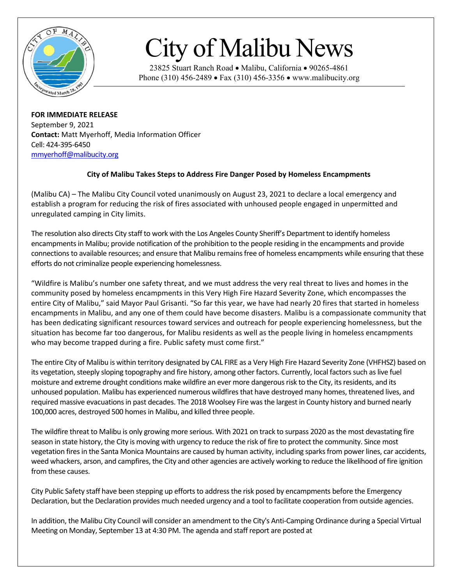

## City of Malibu News

23825 Stuart Ranch Road • Malibu, California • 90265-4861 Phone (310) 456-2489 • Fax (310) 456-3356 • www.malibucity.org

**FOR IMMEDIATE RELEASE** September 9, 2021 **Contact:** Matt Myerhoff, Media Information Officer Cell: 424-395-6450 [mmyerhoff@malibucity.org](mailto:mmyerhoff@malibucity.org)

## **City of Malibu Takes Steps to Address Fire Danger Posed by Homeless Encampments**

(Malibu CA) – The Malibu City Council voted unanimously on August 23, 2021 to declare a local emergency and establish a program for reducing the risk of fires associated with unhoused people engaged in unpermitted and unregulated camping in City limits.

The resolution also directs City staff to work with the Los Angeles County Sheriff's Department to identify homeless encampments in Malibu; provide notification of the prohibition to the people residing in the encampments and provide connections to available resources; and ensure that Malibu remains free of homeless encampments while ensuring that these efforts do not criminalize people experiencing homelessness.

"Wildfire is Malibu's number one safety threat, and we must address the very real threat to lives and homes in the community posed by homeless encampments in this Very High Fire Hazard Severity Zone, which encompasses the entire City of Malibu," said Mayor Paul Grisanti. "So far this year, we have had nearly 20 fires that started in homeless encampments in Malibu, and any one of them could have become disasters. Malibu is a compassionate community that has been dedicating significant resources toward services and outreach for people experiencing homelessness, but the situation has become far too dangerous, for Malibu residents as well as the people living in homeless encampments who may become trapped during a fire. Public safety must come first."

The entire City of Malibu is within territory designated by CAL FIRE as a Very High Fire Hazard Severity Zone (VHFHSZ) based on its vegetation, steeply sloping topography and fire history, among other factors. Currently, local factors such as live fuel moisture and extreme drought conditions make wildfire an ever more dangerous risk to the City, its residents, and its unhoused population. Malibu has experienced numerous wildfires that have destroyed many homes, threatened lives, and required massive evacuations in past decades. The 2018 Woolsey Fire wasthe largest in County history and burned nearly 100,000 acres, destroyed 500 homes in Malibu, and killed three people.

The wildfire threat to Malibu is only growing more serious. With 2021 on track to surpass 2020 as the most devastating fire season in state history, the City is moving with urgency to reduce the risk of fire to protect the community. Since most vegetation fires in the Santa Monica Mountains are caused by human activity, including sparks from power lines, car accidents, weed whackers, arson, and campfires, the City and other agencies are actively working to reduce the likelihood of fire ignition from these causes.

City Public Safety staff have been stepping up efforts to address the risk posed by encampments before the Emergency Declaration, but the Declaration provides much needed urgency and a tool to facilitate cooperation from outside agencies.

In addition, the Malibu City Council will consider an amendment to the City's Anti-Camping Ordinance during a Special Virtual Meeting on Monday, September 13 at 4:30 PM. The agenda and staff report are posted at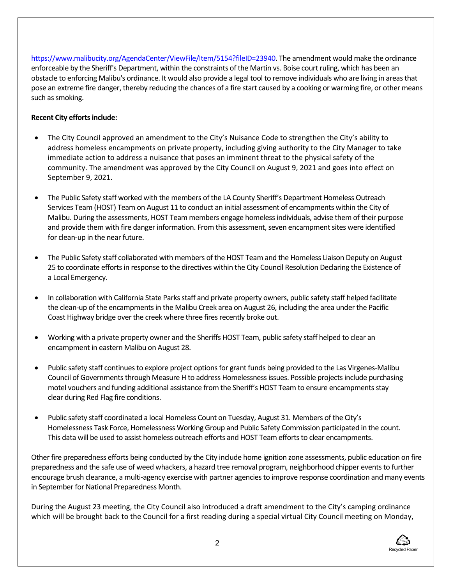[https://www.malibucity.org/AgendaCenter/ViewFile/Item/5154?fileID=23940.](https://www.malibucity.org/AgendaCenter/ViewFile/Item/5154?fileID=23940) The amendment would make the ordinance enforceable by the Sheriff's Department, within the constraints of the Martin vs. Boise court ruling, which has been an obstacle to enforcing Malibu's ordinance. It would also provide a legal tool to remove individuals who are living in areas that pose an extreme fire danger, thereby reducing the chances of a fire start caused by a cooking or warming fire, or other means such as smoking.

## **Recent City efforts include:**

- The City Council approved an amendment to the City's Nuisance Code to strengthen the City's ability to address homeless encampments on private property, including giving authority to the City Manager to take immediate action to address a nuisance that poses an imminent threat to the physical safety of the community. The amendment was approved by the City Council on August 9, 2021 and goes into effect on September 9, 2021.
- The Public Safety staff worked with the members of the LA County Sheriff's Department Homeless Outreach Services Team (HOST) Team on August 11 to conduct an initial assessment of encampments within the City of Malibu. During the assessments, HOST Team members engage homeless individuals, advise them of their purpose and provide them with fire danger information. From this assessment, seven encampment sites were identified for clean-up in the near future.
- The Public Safety staff collaborated with members of the HOST Team and the Homeless Liaison Deputy on August 25 to coordinate efforts in response to the directives within the City Council Resolution Declaring the Existence of a Local Emergency.
- In collaboration with California State Parks staff and private property owners, public safety staff helped facilitate the clean-up of the encampments in the Malibu Creek area on August 26, including the area under the Pacific Coast Highway bridge over the creek where three fires recently broke out.
- Working with a private property owner and the Sheriffs HOST Team, public safety staff helped to clear an encampment in eastern Malibu on August 28.
- Public safety staff continues to explore project options for grant funds being provided to the Las Virgenes-Malibu Council of Governments through Measure H to address Homelessness issues. Possible projectsinclude purchasing motel vouchers and funding additional assistance from the Sheriff's HOST Team to ensure encampments stay clear during Red Flag fire conditions.
- Public safety staff coordinated a local Homeless Count on Tuesday, August 31. Members of the City's Homelessness Task Force, Homelessness Working Group and Public Safety Commission participated in the count. This data will be used to assist homeless outreach efforts and HOST Team efforts to clear encampments.

Other fire preparedness efforts being conducted by the City include home ignition zone assessments, public education on fire preparedness and the safe use of weed whackers, a hazard tree removal program, neighborhood chipper events to further encourage brush clearance, a multi-agency exercise with partner agencies to improve response coordination and many events in September for National Preparedness Month.

During the August 23 meeting, the City Council also introduced a draft amendment to the City's camping ordinance which will be brought back to the Council for a first reading during a special virtual City Council meeting on Monday,